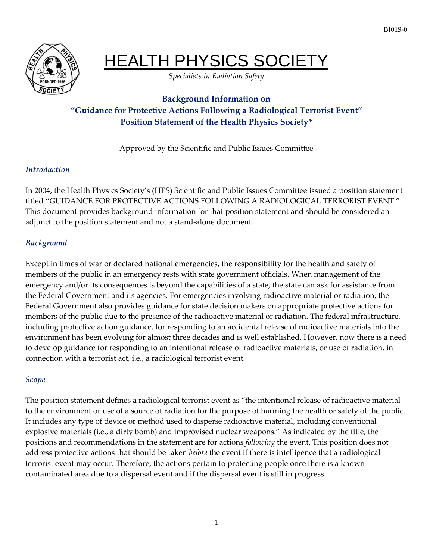

# HEALTH PHYSICS SOCIETY

*Specialists in Radiation Safety*

# **Background Information on "Guidance for Protective Actions Following a Radiological Terrorist Event" Position Statement of the Health Physics Society\***

Approved by the Scientific and Public Issues Committee

#### *Introduction*

In 2004, the Health Physics Society's (HPS) Scientific and Public Issues Committee issued a position statement titled "GUIDANCE FOR PROTECTIVE ACTIONS FOLLOWING A RADIOLOGICAL TERRORIST EVENT." This document provides background information for that position statement and should be considered an adjunct to the position statement and not a stand-alone document.

#### *Background*

Except in times of war or declared national emergencies, the responsibility for the health and safety of members of the public in an emergency rests with state government officials. When management of the emergency and/or its consequences is beyond the capabilities of a state, the state can ask for assistance from the Federal Government and its agencies. For emergencies involving radioactive material or radiation, the Federal Government also provides guidance for state decision makers on appropriate protective actions for members of the public due to the presence of the radioactive material or radiation. The federal infrastructure, including protective action guidance, for responding to an accidental release of radioactive materials into the environment has been evolving for almost three decades and is well established. However, now there is a need to develop guidance for responding to an intentional release of radioactive materials, or use of radiation, in connection with a terrorist act, i.e., a radiological terrorist event.

## *Scope*

The position statement defines a radiological terrorist event as "the intentional release of radioactive material to the environment or use of a source of radiation for the purpose of harming the health or safety of the public. It includes any type of device or method used to disperse radioactive material, including conventional explosive materials (i.e., a dirty bomb) and improvised nuclear weapons." As indicated by the title, the positions and recommendations in the statement are for actions *following* the event. This position does not address protective actions that should be taken *before* the event if there is intelligence that a radiological terrorist event may occur. Therefore, the actions pertain to protecting people once there is a known contaminated area due to a dispersal event and if the dispersal event is still in progress.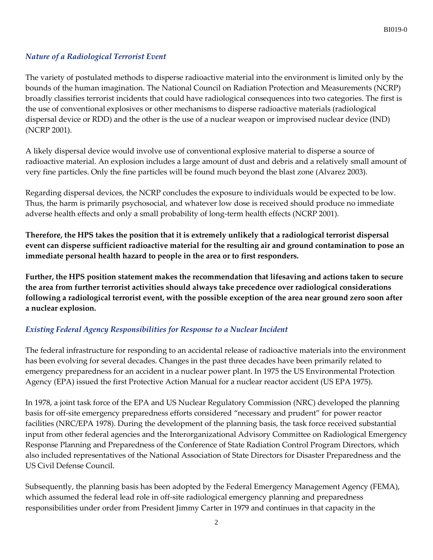#### *Nature of a Radiological Terrorist Event*

The variety of postulated methods to disperse radioactive material into the environment is limited only by the bounds of the human imagination. The National Council on Radiation Protection and Measurements (NCRP) broadly classifies terrorist incidents that could have radiological consequences into two categories. The first is the use of conventional explosives or other mechanisms to disperse radioactive materials (radiological dispersal device or RDD) and the other is the use of a nuclear weapon or improvised nuclear device (IND) (NCRP 2001).

A likely dispersal device would involve use of conventional explosive material to disperse a source of radioactive material. An explosion includes a large amount of dust and debris and a relatively small amount of very fine particles. Only the fine particles will be found much beyond the blast zone (Alvarez 2003).

Regarding dispersal devices, the NCRP concludes the exposure to individuals would be expected to be low. Thus, the harm is primarily psychosocial, and whatever low dose is received should produce no immediate adverse health effects and only a small probability of long-term health effects (NCRP 2001).

**Therefore, the HPS takes the position that it is extremely unlikely that a radiological terrorist dispersal event can disperse sufficient radioactive material for the resulting air and ground contamination to pose an immediate personal health hazard to people in the area or to first responders.** 

**Further, the HPS position statement makes the recommendation that lifesaving and actions taken to secure the area from further terrorist activities should always take precedence over radiological considerations following a radiological terrorist event, with the possible exception of the area near ground zero soon after a nuclear explosion.**

#### *Existing Federal Agency Responsibilities for Response to a Nuclear Incident*

The federal infrastructure for responding to an accidental release of radioactive materials into the environment has been evolving for several decades. Changes in the past three decades have been primarily related to emergency preparedness for an accident in a nuclear power plant. In 1975 the US Environmental Protection Agency (EPA) issued the first Protective Action Manual for a nuclear reactor accident (US EPA 1975).

In 1978, a joint task force of the EPA and US Nuclear Regulatory Commission (NRC) developed the planning basis for off-site emergency preparedness efforts considered "necessary and prudent" for power reactor facilities (NRC/EPA 1978). During the development of the planning basis, the task force received substantial input from other federal agencies and the Interorganizational Advisory Committee on Radiological Emergency Response Planning and Preparedness of the Conference of State Radiation Control Program Directors, which also included representatives of the National Association of State Directors for Disaster Preparedness and the US Civil Defense Council.

Subsequently, the planning basis has been adopted by the Federal Emergency Management Agency (FEMA), which assumed the federal lead role in off-site radiological emergency planning and preparedness responsibilities under order from President Jimmy Carter in 1979 and continues in that capacity in the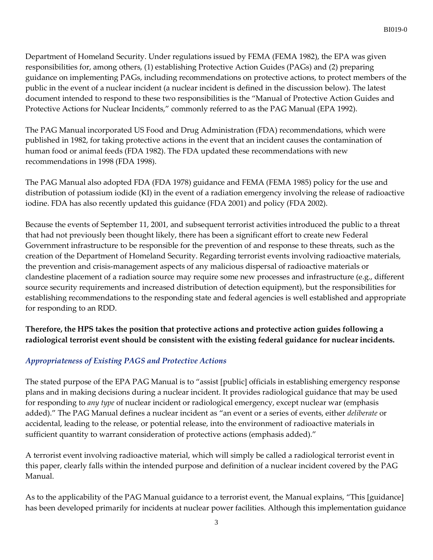Department of Homeland Security. Under regulations issued by FEMA (FEMA 1982), the EPA was given responsibilities for, among others, (1) establishing Protective Action Guides (PAGs) and (2) preparing guidance on implementing PAGs, including recommendations on protective actions, to protect members of the public in the event of a nuclear incident (a nuclear incident is defined in the discussion below). The latest document intended to respond to these two responsibilities is the "Manual of Protective Action Guides and Protective Actions for Nuclear Incidents," commonly referred to as the PAG Manual (EPA 1992).

The PAG Manual incorporated US Food and Drug Administration (FDA) recommendations, which were published in 1982, for taking protective actions in the event that an incident causes the contamination of human food or animal feeds (FDA 1982). The FDA updated these recommendations with new recommendations in 1998 (FDA 1998).

The PAG Manual also adopted FDA (FDA 1978) guidance and FEMA (FEMA 1985) policy for the use and distribution of potassium iodide (KI) in the event of a radiation emergency involving the release of radioactive iodine. FDA has also recently updated this guidance (FDA 2001) and policy (FDA 2002).

Because the events of September 11, 2001, and subsequent terrorist activities introduced the public to a threat that had not previously been thought likely, there has been a significant effort to create new Federal Government infrastructure to be responsible for the prevention of and response to these threats, such as the creation of the Department of Homeland Security. Regarding terrorist events involving radioactive materials, the prevention and crisis-management aspects of any malicious dispersal of radioactive materials or clandestine placement of a radiation source may require some new processes and infrastructure (e.g., different source security requirements and increased distribution of detection equipment), but the responsibilities for establishing recommendations to the responding state and federal agencies is well established and appropriate for responding to an RDD.

## **Therefore, the HPS takes the position that protective actions and protective action guides following a radiological terrorist event should be consistent with the existing federal guidance for nuclear incidents.**

## *Appropriateness of Existing PAGS and Protective Actions*

The stated purpose of the EPA PAG Manual is to "assist [public] officials in establishing emergency response plans and in making decisions during a nuclear incident. It provides radiological guidance that may be used for responding to *any type* of nuclear incident or radiological emergency, except nuclear war (emphasis added)." The PAG Manual defines a nuclear incident as "an event or a series of events, either *deliberate* or accidental, leading to the release, or potential release, into the environment of radioactive materials in sufficient quantity to warrant consideration of protective actions (emphasis added)."

A terrorist event involving radioactive material, which will simply be called a radiological terrorist event in this paper, clearly falls within the intended purpose and definition of a nuclear incident covered by the PAG Manual.

As to the applicability of the PAG Manual guidance to a terrorist event, the Manual explains, "This [guidance] has been developed primarily for incidents at nuclear power facilities. Although this implementation guidance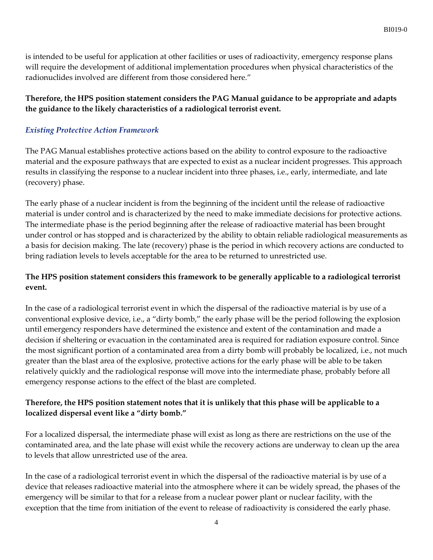is intended to be useful for application at other facilities or uses of radioactivity, emergency response plans will require the development of additional implementation procedures when physical characteristics of the radionuclides involved are different from those considered here."

#### **Therefore, the HPS position statement considers the PAG Manual guidance to be appropriate and adapts the guidance to the likely characteristics of a radiological terrorist event.**

#### *Existing Protective Action Framework*

The PAG Manual establishes protective actions based on the ability to control exposure to the radioactive material and the exposure pathways that are expected to exist as a nuclear incident progresses. This approach results in classifying the response to a nuclear incident into three phases, i.e., early, intermediate, and late (recovery) phase.

The early phase of a nuclear incident is from the beginning of the incident until the release of radioactive material is under control and is characterized by the need to make immediate decisions for protective actions. The intermediate phase is the period beginning after the release of radioactive material has been brought under control or has stopped and is characterized by the ability to obtain reliable radiological measurements as a basis for decision making. The late (recovery) phase is the period in which recovery actions are conducted to bring radiation levels to levels acceptable for the area to be returned to unrestricted use.

#### **The HPS position statement considers this framework to be generally applicable to a radiological terrorist event.**

In the case of a radiological terrorist event in which the dispersal of the radioactive material is by use of a conventional explosive device, i.e., a "dirty bomb," the early phase will be the period following the explosion until emergency responders have determined the existence and extent of the contamination and made a decision if sheltering or evacuation in the contaminated area is required for radiation exposure control. Since the most significant portion of a contaminated area from a dirty bomb will probably be localized, i.e., not much greater than the blast area of the explosive, protective actions for the early phase will be able to be taken relatively quickly and the radiological response will move into the intermediate phase, probably before all emergency response actions to the effect of the blast are completed.

#### **Therefore, the HPS position statement notes that it is unlikely that this phase will be applicable to a localized dispersal event like a "dirty bomb."**

For a localized dispersal, the intermediate phase will exist as long as there are restrictions on the use of the contaminated area, and the late phase will exist while the recovery actions are underway to clean up the area to levels that allow unrestricted use of the area.

In the case of a radiological terrorist event in which the dispersal of the radioactive material is by use of a device that releases radioactive material into the atmosphere where it can be widely spread, the phases of the emergency will be similar to that for a release from a nuclear power plant or nuclear facility, with the exception that the time from initiation of the event to release of radioactivity is considered the early phase.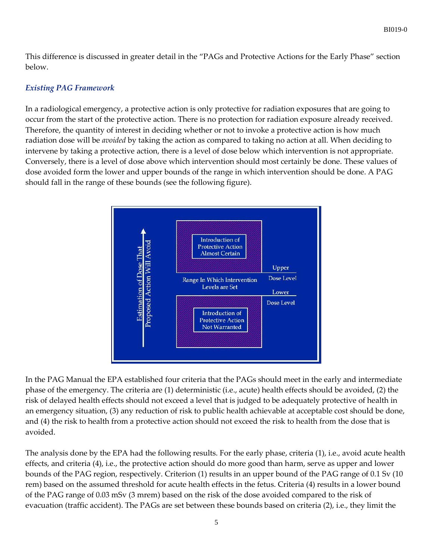This difference is discussed in greater detail in the "PAGs and Protective Actions for the Early Phase" section below.

#### *Existing PAG Framework*

In a radiological emergency, a protective action is only protective for radiation exposures that are going to occur from the start of the protective action. There is no protection for radiation exposure already received. Therefore, the quantity of interest in deciding whether or not to invoke a protective action is how much radiation dose will be *avoided* by taking the action as compared to taking no action at all. When deciding to intervene by taking a protective action, there is a level of dose below which intervention is not appropriate. Conversely, there is a level of dose above which intervention should most certainly be done. These values of dose avoided form the lower and upper bounds of the range in which intervention should be done. A PAG should fall in the range of these bounds (see the following figure).



In the PAG Manual the EPA established four criteria that the PAGs should meet in the early and intermediate phase of the emergency. The criteria are (1) deterministic (i.e., acute) health effects should be avoided, (2) the risk of delayed health effects should not exceed a level that is judged to be adequately protective of health in an emergency situation, (3) any reduction of risk to public health achievable at acceptable cost should be done, and (4) the risk to health from a protective action should not exceed the risk to health from the dose that is avoided.

The analysis done by the EPA had the following results. For the early phase, criteria (1), i.e., avoid acute health effects, and criteria (4), i.e., the protective action should do more good than harm, serve as upper and lower bounds of the PAG region, respectively. Criterion (1) results in an upper bound of the PAG range of 0.1 Sv (10 rem) based on the assumed threshold for acute health effects in the fetus. Criteria (4) results in a lower bound of the PAG range of 0.03 mSv (3 mrem) based on the risk of the dose avoided compared to the risk of evacuation (traffic accident). The PAGs are set between these bounds based on criteria (2), i.e., they limit the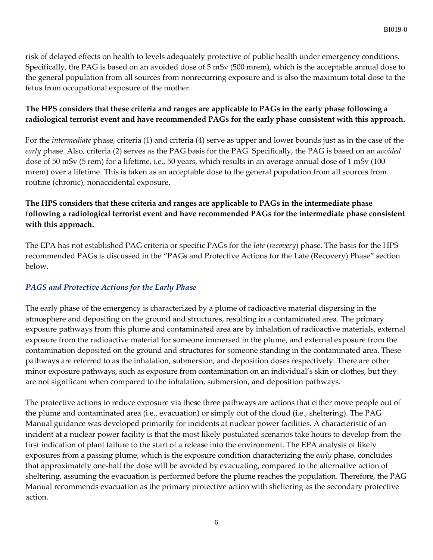risk of delayed effects on health to levels adequately protective of public health under emergency conditions. Specifically, the PAG is based on an avoided dose of 5 mSv (500 mrem), which is the acceptable annual dose to the general population from all sources from nonrecurring exposure and is also the maximum total dose to the fetus from occupational exposure of the mother.

#### **The HPS considers that these criteria and ranges are applicable to PAGs in the early phase following a radiological terrorist event and have recommended PAGs for the early phase consistent with this approach.**

For the *intermediate* phase, criteria (1) and criteria (4) serve as upper and lower bounds just as in the case of the *early* phase. Also, criteria (2) serves as the PAG basis for the PAG. Specifically, the PAG is based on an *avoided* dose of 50 mSv (5 rem) for a lifetime, i.e., 50 years, which results in an average annual dose of 1 mSv (100 mrem) over a lifetime. This is taken as an acceptable dose to the general population from all sources from routine (chronic), nonaccidental exposure.

## **The HPS considers that these criteria and ranges are applicable to PAGs in the intermediate phase following a radiological terrorist event and have recommended PAGs for the intermediate phase consistent with this approach.**

The EPA has not established PAG criteria or specific PAGs for the *late* (*recovery*) phase. The basis for the HPS recommended PAGs is discussed in the "PAGs and Protective Actions for the Late (Recovery) Phase" section below.

## *PAGS and Protective Actions for the Early Phase*

The early phase of the emergency is characterized by a plume of radioactive material dispersing in the atmosphere and depositing on the ground and structures, resulting in a contaminated area. The primary exposure pathways from this plume and contaminated area are by inhalation of radioactive materials, external exposure from the radioactive material for someone immersed in the plume, and external exposure from the contamination deposited on the ground and structures for someone standing in the contaminated area. These pathways are referred to as the inhalation, submersion, and deposition doses respectively. There are other minor exposure pathways, such as exposure from contamination on an individual's skin or clothes, but they are not significant when compared to the inhalation, submersion, and deposition pathways.

The protective actions to reduce exposure via these three pathways are actions that either move people out of the plume and contaminated area (i.e., evacuation) or simply out of the cloud (i.e., sheltering). The PAG Manual guidance was developed primarily for incidents at nuclear power facilities. A characteristic of an incident at a nuclear power facility is that the most likely postulated scenarios take hours to develop from the first indication of plant failure to the start of a release into the environment. The EPA analysis of likely exposures from a passing plume, which is the exposure condition characterizing the *early* phase, concludes that approximately one-half the dose will be avoided by evacuating, compared to the alternative action of sheltering, assuming the evacuation is performed before the plume reaches the population. Therefore, the PAG Manual recommends evacuation as the primary protective action with sheltering as the secondary protective action.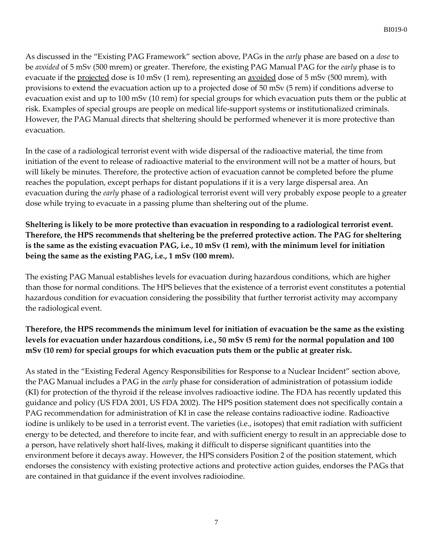As discussed in the "Existing PAG Framework" section above, PAGs in the *early* phase are based on a *dose* to be *avoided* of 5 mSv (500 mrem) or greater. Therefore, the existing PAG Manual PAG for the *early* phase is to evacuate if the projected dose is 10 mSv (1 rem), representing an <u>avoided</u> dose of 5 mSv (500 mrem), with provisions to extend the evacuation action up to a projected dose of 50 mSv (5 rem) if conditions adverse to evacuation exist and up to 100 mSv (10 rem) for special groups for which evacuation puts them or the public at risk. Examples of special groups are people on medical life-support systems or institutionalized criminals. However, the PAG Manual directs that sheltering should be performed whenever it is more protective than evacuation.

In the case of a radiological terrorist event with wide dispersal of the radioactive material, the time from initiation of the event to release of radioactive material to the environment will not be a matter of hours, but will likely be minutes. Therefore, the protective action of evacuation cannot be completed before the plume reaches the population, except perhaps for distant populations if it is a very large dispersal area. An evacuation during the *early* phase of a radiological terrorist event will very probably expose people to a greater dose while trying to evacuate in a passing plume than sheltering out of the plume.

## **Sheltering is likely to be more protective than evacuation in responding to a radiological terrorist event. Therefore, the HPS recommends that sheltering be the preferred protective action. The PAG for sheltering is the same as the existing evacuation PAG, i.e., 10 mSv (1 rem), with the minimum level for initiation being the same as the existing PAG, i.e., 1 mSv (100 mrem).**

The existing PAG Manual establishes levels for evacuation during hazardous conditions, which are higher than those for normal conditions. The HPS believes that the existence of a terrorist event constitutes a potential hazardous condition for evacuation considering the possibility that further terrorist activity may accompany the radiological event.

## **Therefore, the HPS recommends the minimum level for initiation of evacuation be the same as the existing levels for evacuation under hazardous conditions, i.e., 50 mSv (5 rem) for the normal population and 100 mSv (10 rem) for special groups for which evacuation puts them or the public at greater risk.**

As stated in the "Existing Federal Agency Responsibilities for Response to a Nuclear Incident" section above, the PAG Manual includes a PAG in the *early* phase for consideration of administration of potassium iodide (KI) for protection of the thyroid if the release involves radioactive iodine. The FDA has recently updated this guidance and policy (US FDA 2001, US FDA 2002). The HPS position statement does not specifically contain a PAG recommendation for administration of KI in case the release contains radioactive iodine. Radioactive iodine is unlikely to be used in a terrorist event. The varieties (i.e., isotopes) that emit radiation with sufficient energy to be detected, and therefore to incite fear, and with sufficient energy to result in an appreciable dose to a person, have relatively short half-lives, making it difficult to disperse significant quantities into the environment before it decays away. However, the HPS considers Position 2 of the position statement, which endorses the consistency with existing protective actions and protective action guides, endorses the PAGs that are contained in that guidance if the event involves radioiodine.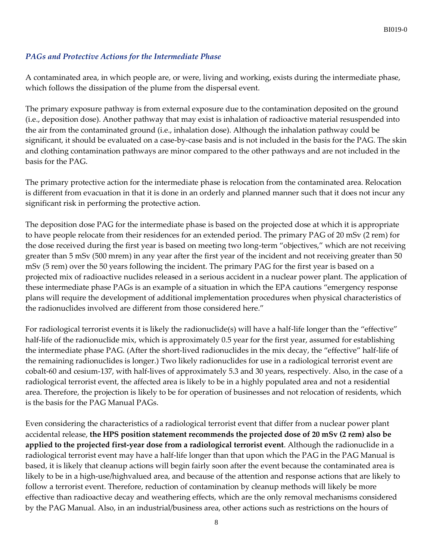#### *PAGs and Protective Actions for the Intermediate Phase*

A contaminated area, in which people are, or were, living and working, exists during the intermediate phase, which follows the dissipation of the plume from the dispersal event.

The primary exposure pathway is from external exposure due to the contamination deposited on the ground (i.e., deposition dose). Another pathway that may exist is inhalation of radioactive material resuspended into the air from the contaminated ground (i.e., inhalation dose). Although the inhalation pathway could be significant, it should be evaluated on a case-by-case basis and is not included in the basis for the PAG. The skin and clothing contamination pathways are minor compared to the other pathways and are not included in the basis for the PAG.

The primary protective action for the intermediate phase is relocation from the contaminated area. Relocation is different from evacuation in that it is done in an orderly and planned manner such that it does not incur any significant risk in performing the protective action.

The deposition dose PAG for the intermediate phase is based on the projected dose at which it is appropriate to have people relocate from their residences for an extended period. The primary PAG of 20 mSv (2 rem) for the dose received during the first year is based on meeting two long-term "objectives," which are not receiving greater than 5 mSv (500 mrem) in any year after the first year of the incident and not receiving greater than 50 mSv (5 rem) over the 50 years following the incident. The primary PAG for the first year is based on a projected mix of radioactive nuclides released in a serious accident in a nuclear power plant. The application of these intermediate phase PAGs is an example of a situation in which the EPA cautions "emergency response plans will require the development of additional implementation procedures when physical characteristics of the radionuclides involved are different from those considered here."

For radiological terrorist events it is likely the radionuclide(s) will have a half-life longer than the "effective" half-life of the radionuclide mix, which is approximately 0.5 year for the first year, assumed for establishing the intermediate phase PAG. (After the short-lived radionuclides in the mix decay, the "effective" half-life of the remaining radionuclides is longer.) Two likely radionuclides for use in a radiological terrorist event are cobalt-60 and cesium-137, with half-lives of approximately 5.3 and 30 years, respectively. Also, in the case of a radiological terrorist event, the affected area is likely to be in a highly populated area and not a residential area. Therefore, the projection is likely to be for operation of businesses and not relocation of residents, which is the basis for the PAG Manual PAGs.

Even considering the characteristics of a radiological terrorist event that differ from a nuclear power plant accidental release, **the HPS position statement recommends the projected dose of 20 mSv (2 rem) also be applied to the projected first-year dose from a radiological terrorist event**. Although the radionuclide in a radiological terrorist event may have a half-life longer than that upon which the PAG in the PAG Manual is based, it is likely that cleanup actions will begin fairly soon after the event because the contaminated area is likely to be in a high-use/highvalued area, and because of the attention and response actions that are likely to follow a terrorist event. Therefore, reduction of contamination by cleanup methods will likely be more effective than radioactive decay and weathering effects, which are the only removal mechanisms considered by the PAG Manual. Also, in an industrial/business area, other actions such as restrictions on the hours of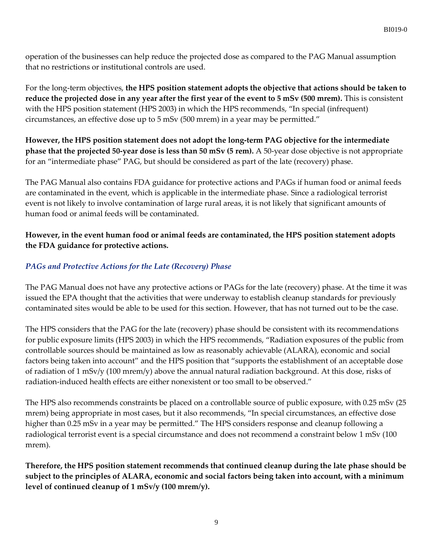operation of the businesses can help reduce the projected dose as compared to the PAG Manual assumption that no restrictions or institutional controls are used.

For the long-term objectives, **the HPS position statement adopts the objective that actions should be taken to reduce the projected dose in any year after the first year of the event to 5 mSv (500 mrem).** This is consistent with the HPS position statement (HPS 2003) in which the HPS recommends, "In special (infrequent) circumstances, an effective dose up to 5 mSv (500 mrem) in a year may be permitted."

**However, the HPS position statement does not adopt the long-term PAG objective for the intermediate phase that the projected 50-year dose is less than 50 mSv (5 rem).** A 50-year dose objective is not appropriate for an "intermediate phase" PAG, but should be considered as part of the late (recovery) phase.

The PAG Manual also contains FDA guidance for protective actions and PAGs if human food or animal feeds are contaminated in the event, which is applicable in the intermediate phase. Since a radiological terrorist event is not likely to involve contamination of large rural areas, it is not likely that significant amounts of human food or animal feeds will be contaminated.

### **However, in the event human food or animal feeds are contaminated, the HPS position statement adopts the FDA guidance for protective actions.**

## *PAGs and Protective Actions for the Late (Recovery) Phase*

The PAG Manual does not have any protective actions or PAGs for the late (recovery) phase. At the time it was issued the EPA thought that the activities that were underway to establish cleanup standards for previously contaminated sites would be able to be used for this section. However, that has not turned out to be the case.

The HPS considers that the PAG for the late (recovery) phase should be consistent with its recommendations for public exposure limits (HPS 2003) in which the HPS recommends, "Radiation exposures of the public from controllable sources should be maintained as low as reasonably achievable (ALARA), economic and social factors being taken into account" and the HPS position that "supports the establishment of an acceptable dose of radiation of 1 mSv/y (100 mrem/y) above the annual natural radiation background. At this dose, risks of radiation-induced health effects are either nonexistent or too small to be observed."

The HPS also recommends constraints be placed on a controllable source of public exposure, with 0.25 mSv (25 mrem) being appropriate in most cases, but it also recommends, "In special circumstances, an effective dose higher than 0.25 mSv in a year may be permitted." The HPS considers response and cleanup following a radiological terrorist event is a special circumstance and does not recommend a constraint below 1 mSv (100 mrem).

**Therefore, the HPS position statement recommends that continued cleanup during the late phase should be subject to the principles of ALARA, economic and social factors being taken into account, with a minimum level of continued cleanup of 1 mSv/y (100 mrem/y).**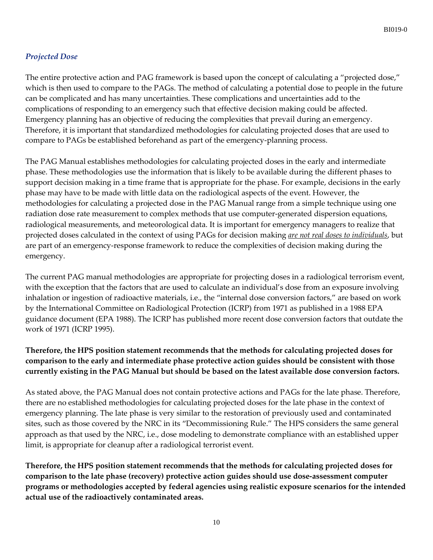#### *Projected Dose*

The entire protective action and PAG framework is based upon the concept of calculating a "projected dose," which is then used to compare to the PAGs. The method of calculating a potential dose to people in the future can be complicated and has many uncertainties. These complications and uncertainties add to the complications of responding to an emergency such that effective decision making could be affected. Emergency planning has an objective of reducing the complexities that prevail during an emergency. Therefore, it is important that standardized methodologies for calculating projected doses that are used to compare to PAGs be established beforehand as part of the emergency-planning process.

The PAG Manual establishes methodologies for calculating projected doses in the early and intermediate phase. These methodologies use the information that is likely to be available during the different phases to support decision making in a time frame that is appropriate for the phase. For example, decisions in the early phase may have to be made with little data on the radiological aspects of the event. However, the methodologies for calculating a projected dose in the PAG Manual range from a simple technique using one radiation dose rate measurement to complex methods that use computer-generated dispersion equations, radiological measurements, and meteorological data. It is important for emergency managers to realize that projected doses calculated in the context of using PAGs for decision making *are not real doses to individuals*, but are part of an emergency-response framework to reduce the complexities of decision making during the emergency.

The current PAG manual methodologies are appropriate for projecting doses in a radiological terrorism event, with the exception that the factors that are used to calculate an individual's dose from an exposure involving inhalation or ingestion of radioactive materials, i.e., the "internal dose conversion factors," are based on work by the International Committee on Radiological Protection (ICRP) from 1971 as published in a 1988 EPA guidance document (EPA 1988). The ICRP has published more recent dose conversion factors that outdate the work of 1971 (ICRP 1995).

## **Therefore, the HPS position statement recommends that the methods for calculating projected doses for comparison to the early and intermediate phase protective action guides should be consistent with those currently existing in the PAG Manual but should be based on the latest available dose conversion factors.**

As stated above, the PAG Manual does not contain protective actions and PAGs for the late phase. Therefore, there are no established methodologies for calculating projected doses for the late phase in the context of emergency planning. The late phase is very similar to the restoration of previously used and contaminated sites, such as those covered by the NRC in its "Decommissioning Rule." The HPS considers the same general approach as that used by the NRC, i.e., dose modeling to demonstrate compliance with an established upper limit, is appropriate for cleanup after a radiological terrorist event.

**Therefore, the HPS position statement recommends that the methods for calculating projected doses for comparison to the late phase (recovery) protective action guides should use dose-assessment computer programs or methodologies accepted by federal agencies using realistic exposure scenarios for the intended actual use of the radioactively contaminated areas.**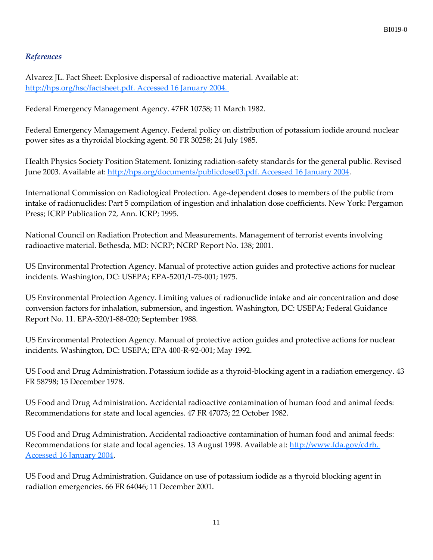#### *References*

Alvarez JL. Fact Sheet: Explosive dispersal of radioactive material. Available at: [http://hps.org/hsc/factsheet.pdf. Accessed 16 January 2004.](http://hps.org/hsc/factsheet.pdf.%20Accessed%2016%20January%202004) 

Federal Emergency Management Agency. 47FR 10758; 11 March 1982.

Federal Emergency Management Agency. Federal policy on distribution of potassium iodide around nuclear power sites as a thyroidal blocking agent. 50 FR 30258; 24 July 1985.

Health Physics Society Position Statement. Ionizing radiation-safety standards for the general public. Revised June 2003. Available at: [http://hps.org/documents/publicdose03.pdf. Accessed 16 January 2004.](http://hps.org/documents/publicdose03.pdf.%20Accessed%2016%20January%202004)

International Commission on Radiological Protection. Age-dependent doses to members of the public from intake of radionuclides: Part 5 compilation of ingestion and inhalation dose coefficients. New York: Pergamon Press; ICRP Publication 72, Ann. ICRP; 1995.

National Council on Radiation Protection and Measurements. Management of terrorist events involving radioactive material. Bethesda, MD: NCRP; NCRP Report No. 138; 2001.

US Environmental Protection Agency. Manual of protective action guides and protective actions for nuclear incidents. Washington, DC: USEPA; EPA-5201/1-75-001; 1975.

US Environmental Protection Agency. Limiting values of radionuclide intake and air concentration and dose conversion factors for inhalation, submersion, and ingestion. Washington, DC: USEPA; Federal Guidance Report No. 11. EPA-520/1-88-020; September 1988.

US Environmental Protection Agency. Manual of protective action guides and protective actions for nuclear incidents. Washington, DC: USEPA; EPA 400-R-92-001; May 1992.

US Food and Drug Administration. Potassium iodide as a thyroid-blocking agent in a radiation emergency. 43 FR 58798; 15 December 1978.

US Food and Drug Administration. Accidental radioactive contamination of human food and animal feeds: Recommendations for state and local agencies. 47 FR 47073; 22 October 1982.

US Food and Drug Administration. Accidental radioactive contamination of human food and animal feeds: Recommendations for state and local agencies. 13 August 1998. Available at: [http://www.fda.gov/cdrh.](http://www.fda.gov/cdrh.%20Accessed%2016%20January%202004)  [Accessed 16 January 2004.](http://www.fda.gov/cdrh.%20Accessed%2016%20January%202004)

US Food and Drug Administration. Guidance on use of potassium iodide as a thyroid blocking agent in radiation emergencies. 66 FR 64046; 11 December 2001.